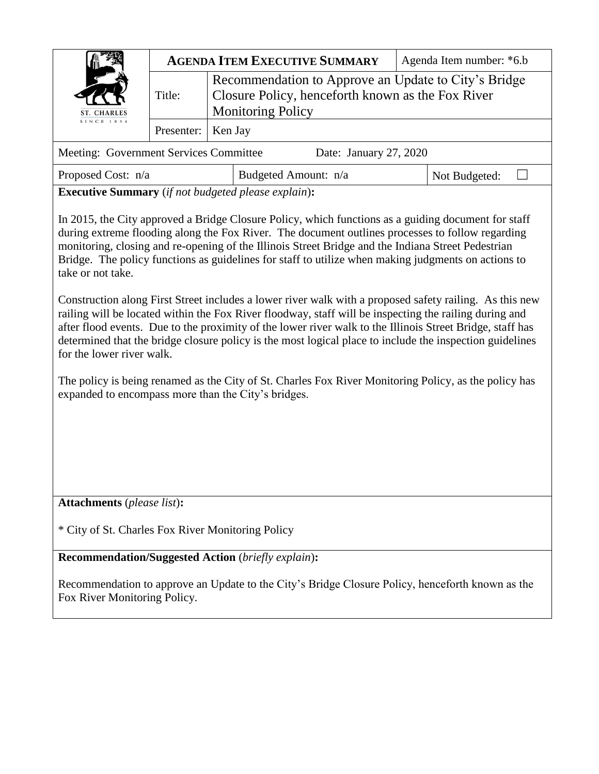|                                        |                      | <b>AGENDA ITEM EXECUTIVE SUMMARY</b>                                          | Agenda Item number: *6.b                             |  |  |  |  |
|----------------------------------------|----------------------|-------------------------------------------------------------------------------|------------------------------------------------------|--|--|--|--|
| ST. CHARLES                            | Title:               | Closure Policy, henceforth known as the Fox River<br><b>Monitoring Policy</b> | Recommendation to Approve an Update to City's Bridge |  |  |  |  |
| SINCE 1834                             | Presenter:   Ken Jay |                                                                               |                                                      |  |  |  |  |
| Meeting: Government Services Committee |                      |                                                                               | Date: January 27, 2020                               |  |  |  |  |

| Proposed Cost: n/a |  |  |  |  | Budgeted Amount: n/a |  | Not Budgeted: |  |
|--------------------|--|--|--|--|----------------------|--|---------------|--|
|                    |  |  |  |  |                      |  |               |  |

**Executive Summary** (*if not budgeted please explain*)**:**

In 2015, the City approved a Bridge Closure Policy, which functions as a guiding document for staff during extreme flooding along the Fox River. The document outlines processes to follow regarding monitoring, closing and re-opening of the Illinois Street Bridge and the Indiana Street Pedestrian Bridge. The policy functions as guidelines for staff to utilize when making judgments on actions to take or not take.

Construction along First Street includes a lower river walk with a proposed safety railing. As this new railing will be located within the Fox River floodway, staff will be inspecting the railing during and after flood events. Due to the proximity of the lower river walk to the Illinois Street Bridge, staff has determined that the bridge closure policy is the most logical place to include the inspection guidelines for the lower river walk.

The policy is being renamed as the City of St. Charles Fox River Monitoring Policy, as the policy has expanded to encompass more than the City's bridges.

**Attachments** (*please list*)**:** 

\* City of St. Charles Fox River Monitoring Policy

**Recommendation/Suggested Action** (*briefly explain*)**:**

Recommendation to approve an Update to the City's Bridge Closure Policy, henceforth known as the Fox River Monitoring Policy.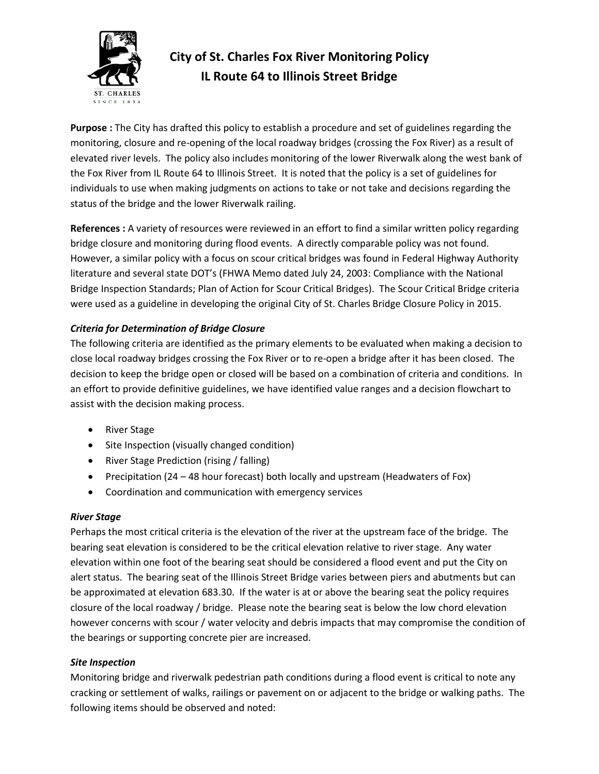

## **City of St. Charles Fox River Monitoring Policy IL Route 64 to Illinois Street Bridge**

**Purpose :** The City has drafted this policy to establish a procedure and set of guidelines regarding the monitoring, closure and re-opening of the local roadway bridges (crossing the Fox River) as a result of elevated river levels. The policy also includes monitoring of the lower Riverwalk along the west bank of the Fox River from IL Route 64 to Illinois Street. It is noted that the policy is a set of guidelines for individuals to use when making judgments on actions to take or not take and decisions regarding the status of the bridge and the lower Riverwalk railing.

**References :** A variety of resources were reviewed in an effort to find a similar written policy regarding bridge closure and monitoring during flood events. A directly comparable policy was not found. However, a similar policy with a focus on scour critical bridges was found in Federal Highway Authority literature and several state DOT's (FHWA Memo dated July 24, 2003: Compliance with the National Bridge Inspection Standards; Plan of Action for Scour Critical Bridges). The Scour Critical Bridge criteria were used as a guideline in developing the original City of St. Charles Bridge Closure Policy in 2015.

## *Criteria for Determination of Bridge Closure*

The following criteria are identified as the primary elements to be evaluated when making a decision to close local roadway bridges crossing the Fox River or to re-open a bridge after it has been closed. The decision to keep the bridge open or closed will be based on a combination of criteria and conditions. In an effort to provide definitive guidelines, we have identified value ranges and a decision flowchart to assist with the decision making process.

- River Stage
- Site Inspection (visually changed condition)
- River Stage Prediction (rising / falling)
- Precipitation (24 48 hour forecast) both locally and upstream (Headwaters of Fox)
- Coordination and communication with emergency services

## *River Stage*

Perhaps the most critical criteria is the elevation of the river at the upstream face of the bridge. The bearing seat elevation is considered to be the critical elevation relative to river stage. Any water elevation within one foot of the bearing seat should be considered a flood event and put the City on alert status. The bearing seat of the Illinois Street Bridge varies between piers and abutments but can be approximated at elevation 683.30. If the water is at or above the bearing seat the policy requires closure of the local roadway / bridge. Please note the bearing seat is below the low chord elevation however concerns with scour / water velocity and debris impacts that may compromise the condition of the bearings or supporting concrete pier are increased.

## *Site Inspection*

Monitoring bridge and riverwalk pedestrian path conditions during a flood event is critical to note any cracking or settlement of walks, railings or pavement on or adjacent to the bridge or walking paths. The following items should be observed and noted: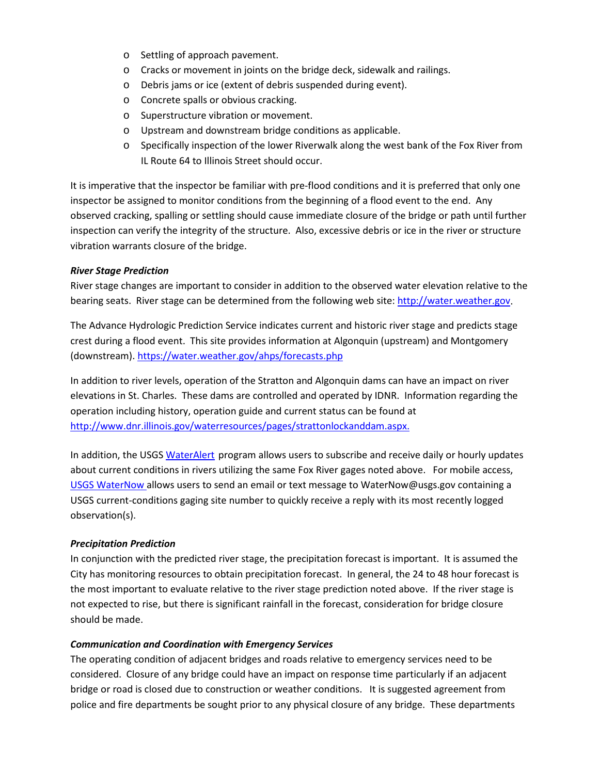- o Settling of approach pavement.
- o Cracks or movement in joints on the bridge deck, sidewalk and railings.
- o Debris jams or ice (extent of debris suspended during event).
- o Concrete spalls or obvious cracking.
- o Superstructure vibration or movement.
- o Upstream and downstream bridge conditions as applicable.
- o Specifically inspection of the lower Riverwalk along the west bank of the Fox River from IL Route 64 to Illinois Street should occur.

It is imperative that the inspector be familiar with pre-flood conditions and it is preferred that only one inspector be assigned to monitor conditions from the beginning of a flood event to the end. Any observed cracking, spalling or settling should cause immediate closure of the bridge or path until further inspection can verify the integrity of the structure. Also, excessive debris or ice in the river or structure vibration warrants closure of the bridge.

#### *River Stage Prediction*

River stage changes are important to consider in addition to the observed water elevation relative to the bearing seats. River stage can be determined from the following web site: [http://water.weather.gov.](http://water.weather.gov/)

The Advance Hydrologic Prediction Service indicates current and historic river stage and predicts stage crest during a flood event. This site provides information at Algonquin (upstream) and Montgomery (downstream). <https://water.weather.gov/ahps/forecasts.php>

In addition to river levels, operation of the Stratton and Algonquin dams can have an impact on river elevations in St. Charles. These dams are controlled and operated by IDNR. Information regarding the operation including history, operation guide and current status can be found at [http://www.dnr.illinois.gov/waterresources/pages/strattonlockanddam.aspx.](http://www.dnr.illinois.gov/waterresources/pages/strattonlockanddam.aspx)

In addition, the USG[S WaterAlert](http://water.usgs.gov/wateralert/) program allows users to subscribe and receive daily or hourly updates about current conditions in rivers utilizing the same Fox River gages noted above. For mobile access, [USGS WaterNow](http://water.usgs.gov/waternow/) allows users to send an email or text message to WaterNow@usgs.gov containing a USGS current-conditions gaging site number to quickly receive a reply with its most recently logged observation(s).

#### *Precipitation Prediction*

In conjunction with the predicted river stage, the precipitation forecast is important. It is assumed the City has monitoring resources to obtain precipitation forecast. In general, the 24 to 48 hour forecast is the most important to evaluate relative to the river stage prediction noted above. If the river stage is not expected to rise, but there is significant rainfall in the forecast, consideration for bridge closure should be made.

#### *Communication and Coordination with Emergency Services*

The operating condition of adjacent bridges and roads relative to emergency services need to be considered. Closure of any bridge could have an impact on response time particularly if an adjacent bridge or road is closed due to construction or weather conditions. It is suggested agreement from police and fire departments be sought prior to any physical closure of any bridge. These departments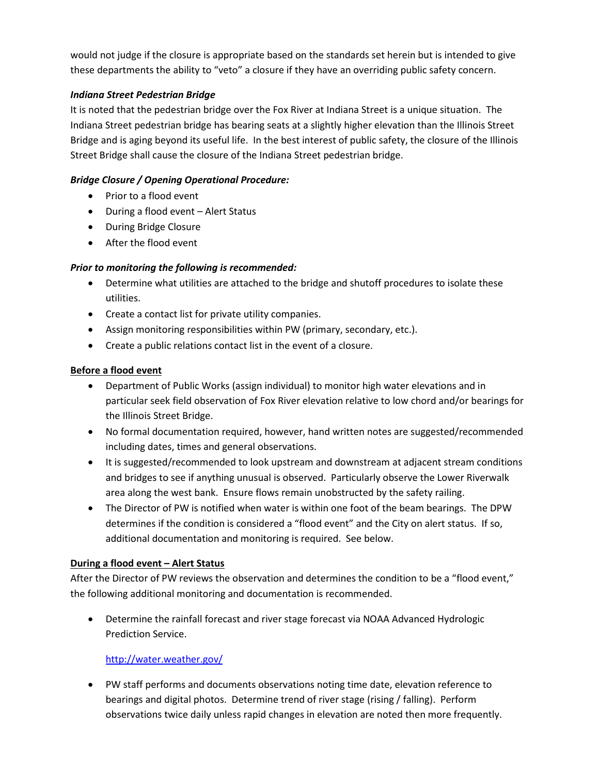would not judge if the closure is appropriate based on the standards set herein but is intended to give these departments the ability to "veto" a closure if they have an overriding public safety concern.

### *Indiana Street Pedestrian Bridge*

It is noted that the pedestrian bridge over the Fox River at Indiana Street is a unique situation. The Indiana Street pedestrian bridge has bearing seats at a slightly higher elevation than the Illinois Street Bridge and is aging beyond its useful life. In the best interest of public safety, the closure of the Illinois Street Bridge shall cause the closure of the Indiana Street pedestrian bridge.

## *Bridge Closure / Opening Operational Procedure:*

- Prior to a flood event
- During a flood event Alert Status
- During Bridge Closure
- After the flood event

## *Prior to monitoring the following is recommended:*

- Determine what utilities are attached to the bridge and shutoff procedures to isolate these utilities.
- Create a contact list for private utility companies.
- Assign monitoring responsibilities within PW (primary, secondary, etc.).
- Create a public relations contact list in the event of a closure.

### **Before a flood event**

- Department of Public Works (assign individual) to monitor high water elevations and in particular seek field observation of Fox River elevation relative to low chord and/or bearings for the Illinois Street Bridge.
- No formal documentation required, however, hand written notes are suggested/recommended including dates, times and general observations.
- It is suggested/recommended to look upstream and downstream at adjacent stream conditions and bridges to see if anything unusual is observed. Particularly observe the Lower Riverwalk area along the west bank. Ensure flows remain unobstructed by the safety railing.
- The Director of PW is notified when water is within one foot of the beam bearings. The DPW determines if the condition is considered a "flood event" and the City on alert status. If so, additional documentation and monitoring is required. See below.

### **During a flood event – Alert Status**

After the Director of PW reviews the observation and determines the condition to be a "flood event," the following additional monitoring and documentation is recommended.

• Determine the rainfall forecast and river stage forecast via NOAA Advanced Hydrologic Prediction Service.

## <http://water.weather.gov/>

• PW staff performs and documents observations noting time date, elevation reference to bearings and digital photos. Determine trend of river stage (rising / falling). Perform observations twice daily unless rapid changes in elevation are noted then more frequently.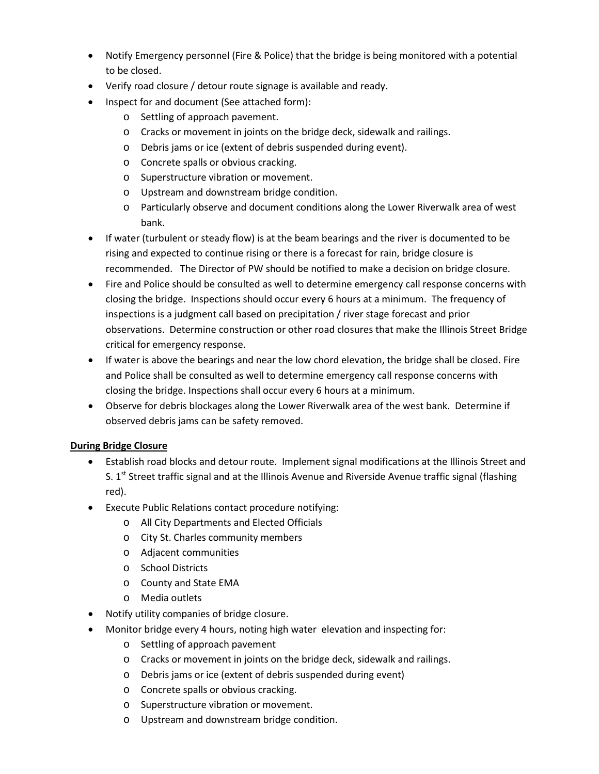- Notify Emergency personnel (Fire & Police) that the bridge is being monitored with a potential to be closed.
- Verify road closure / detour route signage is available and ready.
- Inspect for and document (See attached form):
	- o Settling of approach pavement.
	- o Cracks or movement in joints on the bridge deck, sidewalk and railings.
	- o Debris jams or ice (extent of debris suspended during event).
	- o Concrete spalls or obvious cracking.
	- o Superstructure vibration or movement.
	- o Upstream and downstream bridge condition.
	- o Particularly observe and document conditions along the Lower Riverwalk area of west bank.
- If water (turbulent or steady flow) is at the beam bearings and the river is documented to be rising and expected to continue rising or there is a forecast for rain, bridge closure is recommended. The Director of PW should be notified to make a decision on bridge closure.
- Fire and Police should be consulted as well to determine emergency call response concerns with closing the bridge. Inspections should occur every 6 hours at a minimum. The frequency of inspections is a judgment call based on precipitation / river stage forecast and prior observations. Determine construction or other road closures that make the Illinois Street Bridge critical for emergency response.
- If water is above the bearings and near the low chord elevation, the bridge shall be closed. Fire and Police shall be consulted as well to determine emergency call response concerns with closing the bridge. Inspections shall occur every 6 hours at a minimum.
- Observe for debris blockages along the Lower Riverwalk area of the west bank. Determine if observed debris jams can be safety removed.

### **During Bridge Closure**

- Establish road blocks and detour route. Implement signal modifications at the Illinois Street and S. 1<sup>st</sup> Street traffic signal and at the Illinois Avenue and Riverside Avenue traffic signal (flashing red).
- Execute Public Relations contact procedure notifying:
	- o All City Departments and Elected Officials
	- o City St. Charles community members
	- o Adjacent communities
	- o School Districts
	- o County and State EMA
	- o Media outlets
- Notify utility companies of bridge closure.
- Monitor bridge every 4 hours, noting high water elevation and inspecting for:
	- o Settling of approach pavement
	- o Cracks or movement in joints on the bridge deck, sidewalk and railings.
	- o Debris jams or ice (extent of debris suspended during event)
	- o Concrete spalls or obvious cracking.
	- o Superstructure vibration or movement.
	- o Upstream and downstream bridge condition.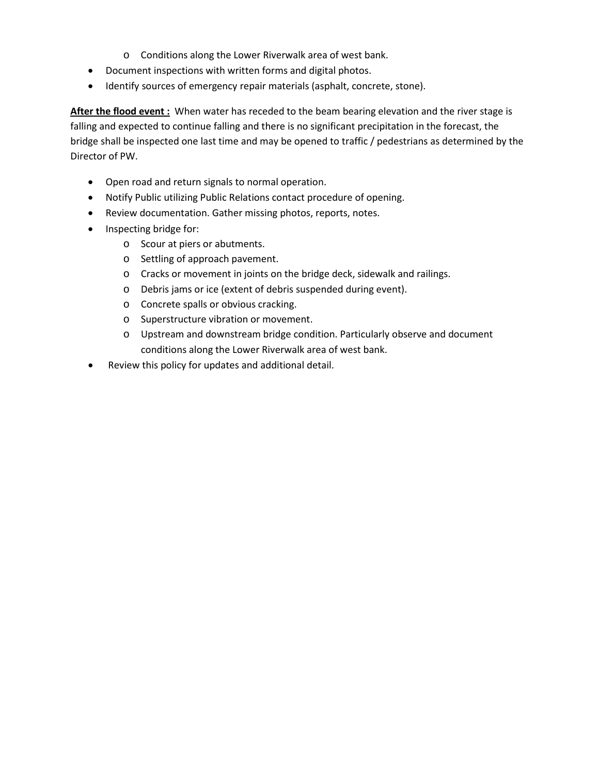- o Conditions along the Lower Riverwalk area of west bank.
- Document inspections with written forms and digital photos.
- Identify sources of emergency repair materials (asphalt, concrete, stone).

**After the flood event :** When water has receded to the beam bearing elevation and the river stage is falling and expected to continue falling and there is no significant precipitation in the forecast, the bridge shall be inspected one last time and may be opened to traffic / pedestrians as determined by the Director of PW.

- Open road and return signals to normal operation.
- Notify Public utilizing Public Relations contact procedure of opening.
- Review documentation. Gather missing photos, reports, notes.
- Inspecting bridge for:
	- o Scour at piers or abutments.
	- o Settling of approach pavement.
	- o Cracks or movement in joints on the bridge deck, sidewalk and railings.
	- o Debris jams or ice (extent of debris suspended during event).
	- o Concrete spalls or obvious cracking.
	- o Superstructure vibration or movement.
	- o Upstream and downstream bridge condition. Particularly observe and document conditions along the Lower Riverwalk area of west bank.
- Review this policy for updates and additional detail.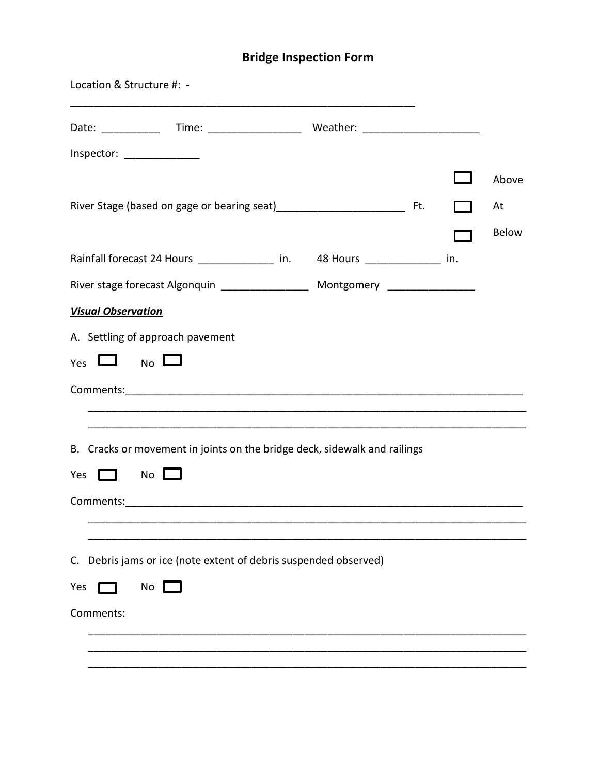# **Bridge Inspection Form**

|     |                           | Location & Structure #: -                                                        |  |  |                             |
|-----|---------------------------|----------------------------------------------------------------------------------|--|--|-----------------------------|
|     |                           |                                                                                  |  |  |                             |
|     |                           | Inspector: _______________                                                       |  |  |                             |
|     |                           |                                                                                  |  |  | Above<br>At<br><b>Below</b> |
|     |                           | Rainfall forecast 24 Hours _______________ in. 48 Hours ______________ in.       |  |  |                             |
|     |                           | River stage forecast Algonquin ___________________ Montgomery __________________ |  |  |                             |
|     | <b>Visual Observation</b> |                                                                                  |  |  |                             |
|     |                           | A. Settling of approach pavement                                                 |  |  |                             |
|     | Yes $\Box$                | $N0$ $\Box$                                                                      |  |  |                             |
|     |                           |                                                                                  |  |  |                             |
|     |                           |                                                                                  |  |  |                             |
|     |                           | B. Cracks or movement in joints on the bridge deck, sidewalk and railings        |  |  |                             |
| Yes | 1 I                       | $No$ $\Box$                                                                      |  |  |                             |
|     |                           |                                                                                  |  |  |                             |
|     |                           |                                                                                  |  |  |                             |
| C.  |                           | Debris jams or ice (note extent of debris suspended observed)                    |  |  |                             |
| Yes |                           | $No$ $\Box$                                                                      |  |  |                             |
|     | Comments:                 |                                                                                  |  |  |                             |
|     |                           |                                                                                  |  |  |                             |
|     |                           |                                                                                  |  |  |                             |
|     |                           |                                                                                  |  |  |                             |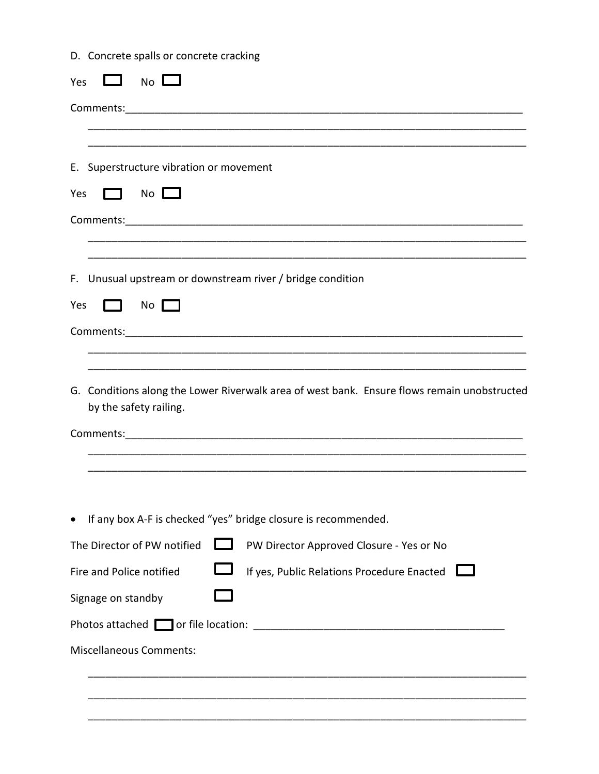|  |  |  | D. Concrete spalls or concrete cracking |  |
|--|--|--|-----------------------------------------|--|
|--|--|--|-----------------------------------------|--|

| <b>No</b><br>Yes                                                                                                      |
|-----------------------------------------------------------------------------------------------------------------------|
| Comments:                                                                                                             |
|                                                                                                                       |
| E. Superstructure vibration or movement                                                                               |
| No L<br>Yes                                                                                                           |
|                                                                                                                       |
|                                                                                                                       |
| F. Unusual upstream or downstream river / bridge condition                                                            |
| Yes<br>No                                                                                                             |
|                                                                                                                       |
|                                                                                                                       |
| G. Conditions along the Lower Riverwalk area of west bank. Ensure flows remain unobstructed<br>by the safety railing. |
|                                                                                                                       |
|                                                                                                                       |
|                                                                                                                       |
| If any box A-F is checked "yes" bridge closure is recommended.<br>$\bullet$                                           |
| The Director of PW notified<br>PW Director Approved Closure - Yes or No                                               |
| If yes, Public Relations Procedure Enacted<br>Fire and Police notified                                                |
| Signage on standby                                                                                                    |
| Photos attached or file location:                                                                                     |
| <b>Miscellaneous Comments:</b>                                                                                        |
|                                                                                                                       |